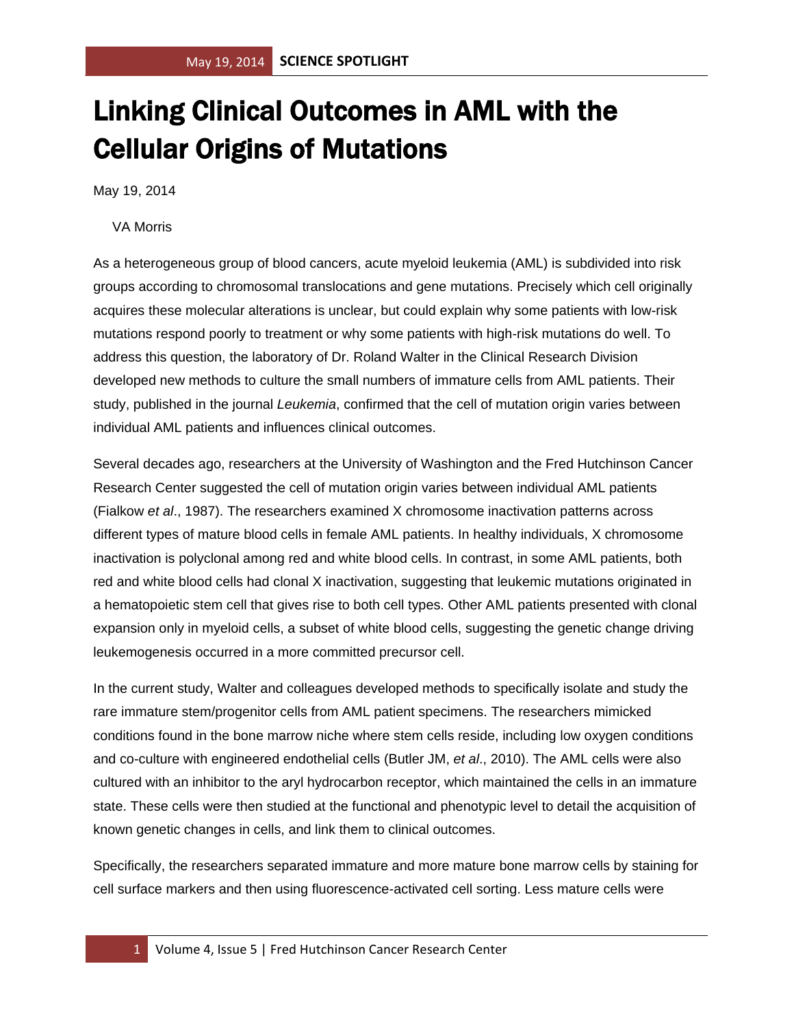## Linking Clinical Outcomes in AML with the Cellular Origins of Mutations

May 19, 2014

## VA Morris

As a heterogeneous group of blood cancers, acute myeloid leukemia (AML) is subdivided into risk groups according to chromosomal translocations and gene mutations. Precisely which cell originally acquires these molecular alterations is unclear, but could explain why some patients with low-risk mutations respond poorly to treatment or why some patients with high-risk mutations do well. To address this question, the laboratory of Dr. Roland Walter in the Clinical Research Division developed new methods to culture the small numbers of immature cells from AML patients. Their study, published in the journal *Leukemia*, confirmed that the cell of mutation origin varies between individual AML patients and influences clinical outcomes.

Several decades ago, researchers at the University of Washington and the Fred Hutchinson Cancer Research Center suggested the cell of mutation origin varies between individual AML patients (Fialkow *et al*., 1987). The researchers examined X chromosome inactivation patterns across different types of mature blood cells in female AML patients. In healthy individuals, X chromosome inactivation is polyclonal among red and white blood cells. In contrast, in some AML patients, both red and white blood cells had clonal X inactivation, suggesting that leukemic mutations originated in a hematopoietic stem cell that gives rise to both cell types. Other AML patients presented with clonal expansion only in myeloid cells, a subset of white blood cells, suggesting the genetic change driving leukemogenesis occurred in a more committed precursor cell.

In the current study, Walter and colleagues developed methods to specifically isolate and study the rare immature stem/progenitor cells from AML patient specimens. The researchers mimicked conditions found in the bone marrow niche where stem cells reside, including low oxygen conditions and co-culture with engineered endothelial cells (Butler JM, *et al*., 2010). The AML cells were also cultured with an inhibitor to the aryl hydrocarbon receptor, which maintained the cells in an immature state. These cells were then studied at the functional and phenotypic level to detail the acquisition of known genetic changes in cells, and link them to clinical outcomes.

Specifically, the researchers separated immature and more mature bone marrow cells by staining for cell surface markers and then using fluorescence-activated cell sorting. Less mature cells were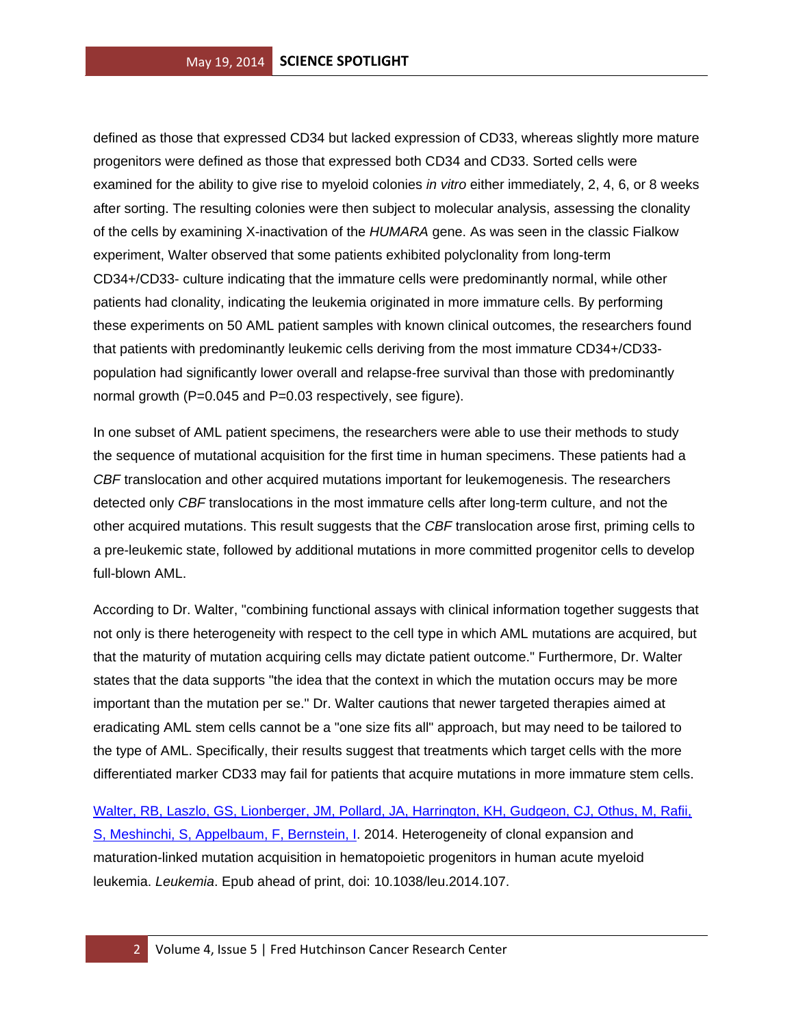defined as those that expressed CD34 but lacked expression of CD33, whereas slightly more mature progenitors were defined as those that expressed both CD34 and CD33. Sorted cells were examined for the ability to give rise to myeloid colonies *in vitro* either immediately, 2, 4, 6, or 8 weeks after sorting. The resulting colonies were then subject to molecular analysis, assessing the clonality of the cells by examining X-inactivation of the *HUMARA* gene. As was seen in the classic Fialkow experiment, Walter observed that some patients exhibited polyclonality from long-term CD34+/CD33- culture indicating that the immature cells were predominantly normal, while other patients had clonality, indicating the leukemia originated in more immature cells. By performing these experiments on 50 AML patient samples with known clinical outcomes, the researchers found that patients with predominantly leukemic cells deriving from the most immature CD34+/CD33 population had significantly lower overall and relapse-free survival than those with predominantly normal growth (P=0.045 and P=0.03 respectively, see figure).

In one subset of AML patient specimens, the researchers were able to use their methods to study the sequence of mutational acquisition for the first time in human specimens. These patients had a *CBF* translocation and other acquired mutations important for leukemogenesis. The researchers detected only *CBF* translocations in the most immature cells after long-term culture, and not the other acquired mutations. This result suggests that the *CBF* translocation arose first, priming cells to a pre-leukemic state, followed by additional mutations in more committed progenitor cells to develop full-blown AML.

According to Dr. Walter, "combining functional assays with clinical information together suggests that not only is there heterogeneity with respect to the cell type in which AML mutations are acquired, but that the maturity of mutation acquiring cells may dictate patient outcome." Furthermore, Dr. Walter states that the data supports "the idea that the context in which the mutation occurs may be more important than the mutation per se." Dr. Walter cautions that newer targeted therapies aimed at eradicating AML stem cells cannot be a "one size fits all" approach, but may need to be tailored to the type of AML. Specifically, their results suggest that treatments which target cells with the more differentiated marker CD33 may fail for patients that acquire mutations in more immature stem cells.

[Walter, RB, Laszlo, GS, Lionberger, JM, Pollard, JA, Harrington, KH, Gudgeon, CJ, Othus, M, Rafii,](http://www.ncbi.nlm.nih.gov/pubmed/24721792?otool=fhcrclib)  [S, Meshinchi, S, Appelbaum, F, Bernstein, I.](http://www.ncbi.nlm.nih.gov/pubmed/24721792?otool=fhcrclib) 2014. Heterogeneity of clonal expansion and maturation-linked mutation acquisition in hematopoietic progenitors in human acute myeloid leukemia. *Leukemia*. Epub ahead of print, doi: 10.1038/leu.2014.107.